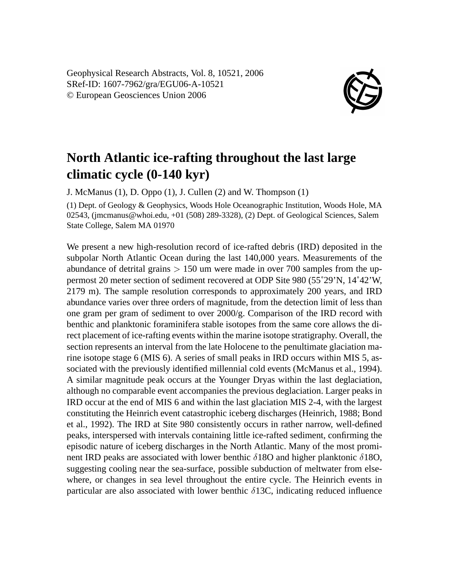Geophysical Research Abstracts, Vol. 8, 10521, 2006 SRef-ID: 1607-7962/gra/EGU06-A-10521 © European Geosciences Union 2006



## **North Atlantic ice-rafting throughout the last large climatic cycle (0-140 kyr)**

J. McManus (1), D. Oppo (1), J. Cullen (2) and W. Thompson (1)

(1) Dept. of Geology & Geophysics, Woods Hole Oceanographic Institution, Woods Hole, MA 02543, (jmcmanus@whoi.edu, +01 (508) 289-3328), (2) Dept. of Geological Sciences, Salem State College, Salem MA 01970

We present a new high-resolution record of ice-rafted debris (IRD) deposited in the subpolar North Atlantic Ocean during the last 140,000 years. Measurements of the abundance of detrital grains  $> 150$  um were made in over 700 samples from the uppermost 20 meter section of sediment recovered at ODP Site 980 (55˚29'N, 14˚42'W, 2179 m). The sample resolution corresponds to approximately 200 years, and IRD abundance varies over three orders of magnitude, from the detection limit of less than one gram per gram of sediment to over 2000/g. Comparison of the IRD record with benthic and planktonic foraminifera stable isotopes from the same core allows the direct placement of ice-rafting events within the marine isotope stratigraphy. Overall, the section represents an interval from the late Holocene to the penultimate glaciation marine isotope stage 6 (MIS 6). A series of small peaks in IRD occurs within MIS 5, associated with the previously identified millennial cold events (McManus et al., 1994). A similar magnitude peak occurs at the Younger Dryas within the last deglaciation, although no comparable event accompanies the previous deglaciation. Larger peaks in IRD occur at the end of MIS 6 and within the last glaciation MIS 2-4, with the largest constituting the Heinrich event catastrophic iceberg discharges (Heinrich, 1988; Bond et al., 1992). The IRD at Site 980 consistently occurs in rather narrow, well-defined peaks, interspersed with intervals containing little ice-rafted sediment, confirming the episodic nature of iceberg discharges in the North Atlantic. Many of the most prominent IRD peaks are associated with lower benthic  $\delta$ 180 and higher planktonic  $\delta$ 180, suggesting cooling near the sea-surface, possible subduction of meltwater from elsewhere, or changes in sea level throughout the entire cycle. The Heinrich events in particular are also associated with lower benthic  $\delta$ 13C, indicating reduced influence